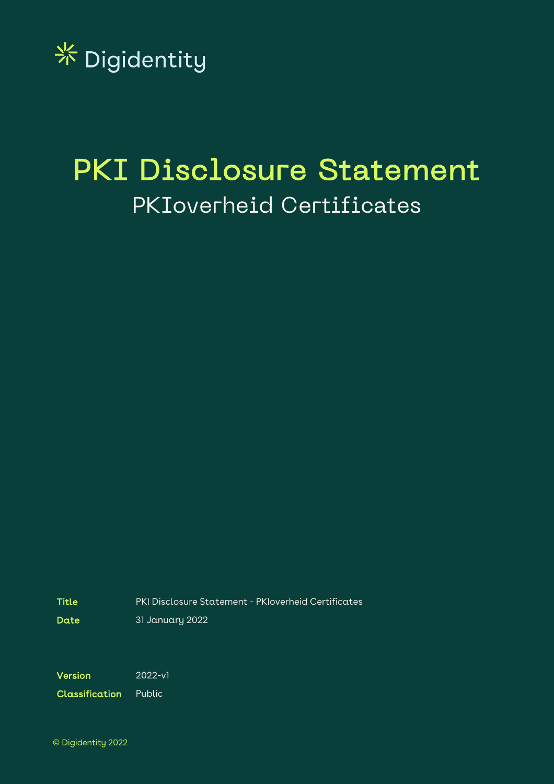

# PKI Disclosure Statement PKIoverheid Certificates

Title PKI Disclosure Statement - PKIoverheid Certificates

Date 31 January 2022

Version 2022-v1

Classification Public

© Digidentity 2022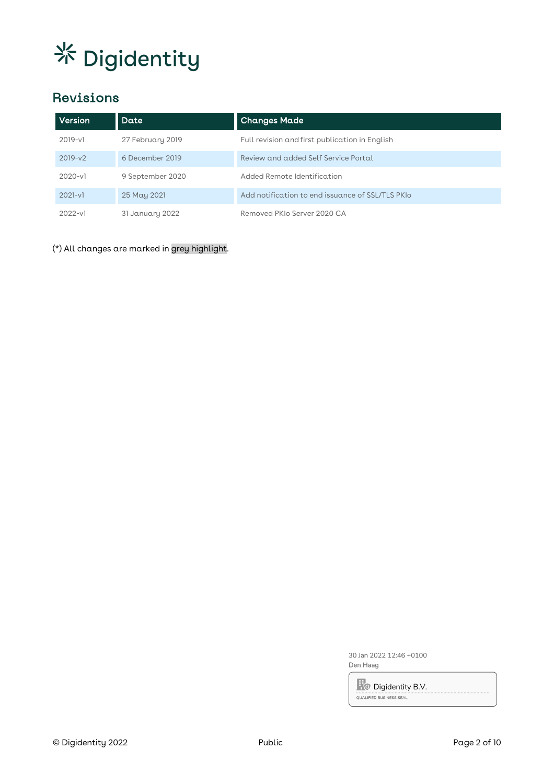# Revisions

| Version     | Date             | <b>Changes Made</b>                              |
|-------------|------------------|--------------------------------------------------|
| $2019 - v1$ | 27 February 2019 | Full revision and first publication in English   |
| $2019-v2$   | 6 December 2019  | Review and added Self Service Portal             |
| $2020 - v1$ | 9 September 2020 | Added Remote Identification                      |
| $2021-v1$   | 25 May 2021      | Add notification to end issuance of SSL/TLS PKIo |
| $2022-v1$   | 31 January 2022  | Removed PKIo Server 2020 CA                      |

(\*) All changes are marked in grey highlight.

30 Jan 2022 12:46 +0100 Den Haag

**R**O Digidentity B.V.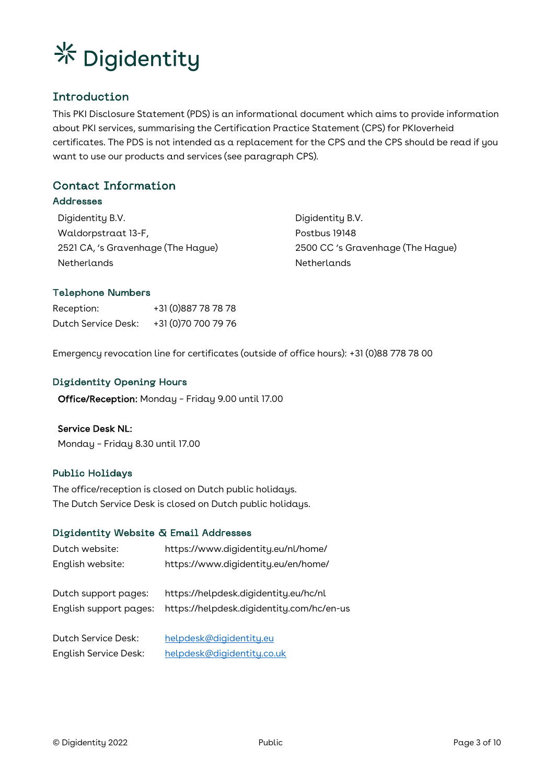

# Introduction

This PKI Disclosure Statement (PDS) is an informational document which aims to provide information about PKI services, summarising the Certification Practice Statement (CPS) for PKIoverheid certificates. The PDS is not intended as a replacement for the CPS and the CPS should be read if you want to use our products and services (see paragraph CPS).

# Contact Information

## Addresses

Digidentity B.V. Waldorpstraat 13-F, 2521 CA, 's Gravenhage (The Hague) **Netherlands** 

Digidentity B.V. Postbus 19148 2500 CC 's Gravenhage (The Hague) Netherlands

## Telephone Numbers

Reception: +31 (0)887 78 78 78 Dutch Service Desk: +31 (0)70 700 79 76

Emergency revocation line for certificates (outside of office hours): +31 (0)88 778 78 00

### Digidentity Opening Hours

Office/Reception: Monday – Friday 9.00 until 17.00

#### Service Desk NL:

Monday – Friday 8.30 until 17.00

## Public Holidays

The office/reception is closed on Dutch public holidays. The Dutch Service Desk is closed on Dutch public holidays.

#### Digidentity Website & Email Addresses

| Dutch website:                                 | https://www.digidentity.eu/nl/home/                                                |
|------------------------------------------------|------------------------------------------------------------------------------------|
| English website:                               | https://www.digidentity.eu/en/home/                                                |
| Dutch support pages:<br>English support pages: | https://helpdesk.digidentity.eu/hc/nl<br>https://helpdesk.digidentity.com/hc/en-us |
| Dutch Service Desk:                            | helpdesk@digidentity.eu                                                            |
| <b>English Service Desk:</b>                   | helpdesk@digidentity.co.uk                                                         |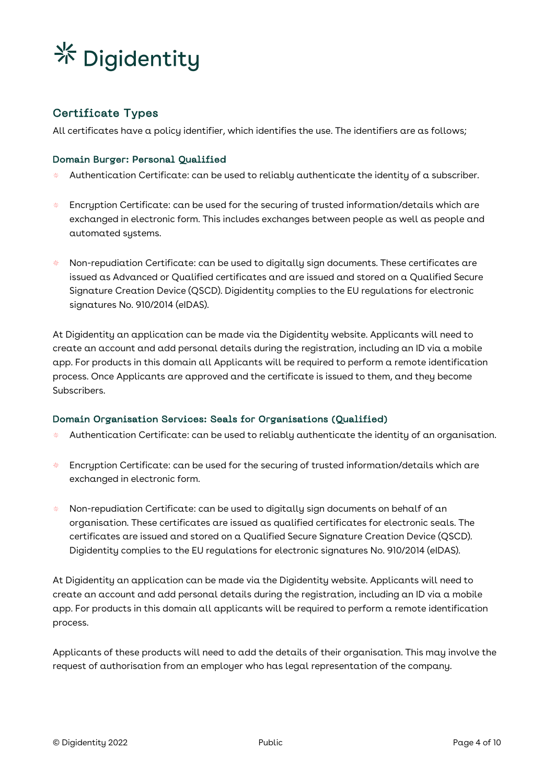

## Certificate Types

All certificates have a policy identifier, which identifies the use. The identifiers are as follows;

### Domain Burger: Personal Qualified

- Authentication Certificate: can be used to reliably authenticate the identity of a subscriber.
- Encryption Certificate: can be used for the securing of trusted information/details which are 왔다 exchanged in electronic form. This includes exchanges between people as well as people and automated systems.
- Non-repudiation Certificate: can be used to digitally sign documents. These certificates are 竖 issued as Advanced or Qualified certificates and are issued and stored on a Qualified Secure Signature Creation Device (QSCD). Digidentity complies to the EU regulations for electronic signatures No. 910/2014 (eIDAS).

At Digidentity an application can be made via the Digidentity website. Applicants will need to create an account and add personal details during the registration, including an ID via a mobile app. For products in this domain all Applicants will be required to perform a remote identification process. Once Applicants are approved and the certificate is issued to them, and they become Subscribers.

#### Domain Organisation Services: Seals for Organisations (Qualified)

- 聚 Authentication Certificate: can be used to reliably authenticate the identity of an organisation.
- Encryption Certificate: can be used for the securing of trusted information/details which are **米** exchanged in electronic form.
- Non-repudiation Certificate: can be used to digitally sign documents on behalf of an 聚 organisation. These certificates are issued as qualified certificates for electronic seals. The certificates are issued and stored on a Qualified Secure Signature Creation Device (QSCD). Digidentity complies to the EU regulations for electronic signatures No. 910/2014 (eIDAS).

At Digidentity an application can be made via the Digidentity website. Applicants will need to create an account and add personal details during the registration, including an ID via a mobile app. For products in this domain all applicants will be required to perform a remote identification process.

Applicants of these products will need to add the details of their organisation. This may involve the request of authorisation from an employer who has legal representation of the company.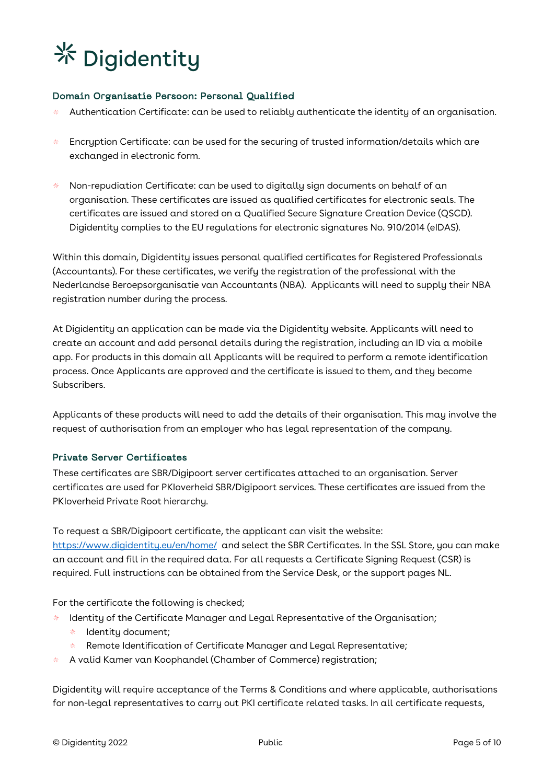## Domain Organisatie Persoon: Personal Qualified

- Authentication Certificate: can be used to reliably authenticate the identity of an organisation.
- 상산 Encryption Certificate: can be used for the securing of trusted information/details which are exchanged in electronic form.
- Non-repudiation Certificate: can be used to digitally sign documents on behalf of an organisation. These certificates are issued as qualified certificates for electronic seals. The certificates are issued and stored on a Qualified Secure Signature Creation Device (QSCD). Digidentity complies to the EU regulations for electronic signatures No. 910/2014 (eIDAS).

Within this domain, Digidentity issues personal qualified certificates for Registered Professionals (Accountants). For these certificates, we verify the registration of the professional with the Nederlandse Beroepsorganisatie van Accountants (NBA). Applicants will need to supply their NBA registration number during the process.

At Digidentity an application can be made via the Digidentity website. Applicants will need to create an account and add personal details during the registration, including an ID via a mobile app. For products in this domain all Applicants will be required to perform a remote identification process. Once Applicants are approved and the certificate is issued to them, and they become Subscribers.

Applicants of these products will need to add the details of their organisation. This may involve the request of authorisation from an employer who has legal representation of the company.

## Private Server Certificates

These certificates are SBR/Digipoort server certificates attached to an organisation. Server certificates are used for PKIoverheid SBR/Digipoort services. These certificates are issued from the PKIoverheid Private Root hierarchy.

To request a SBR/Digipoort certificate, the applicant can visit the website: https://www.digidentity.eu/en/home/ and select the SBR Certificates. In the SSL Store, you can make an account and fill in the required data. For all requests a Certificate Signing Request (CSR) is required. Full instructions can be obtained from the Service Desk, or the support pages NL.

For the certificate the following is checked;

- Identity of the Certificate Manager and Legal Representative of the Organisation;
- ※ Identity document;
- Remote Identification of Certificate Manager and Legal Representative; ※
- A valid Kamer van Koophandel (Chamber of Commerce) registration;

Digidentity will require acceptance of the Terms & Conditions and where applicable, authorisations for non-legal representatives to carry out PKI certificate related tasks. In all certificate requests,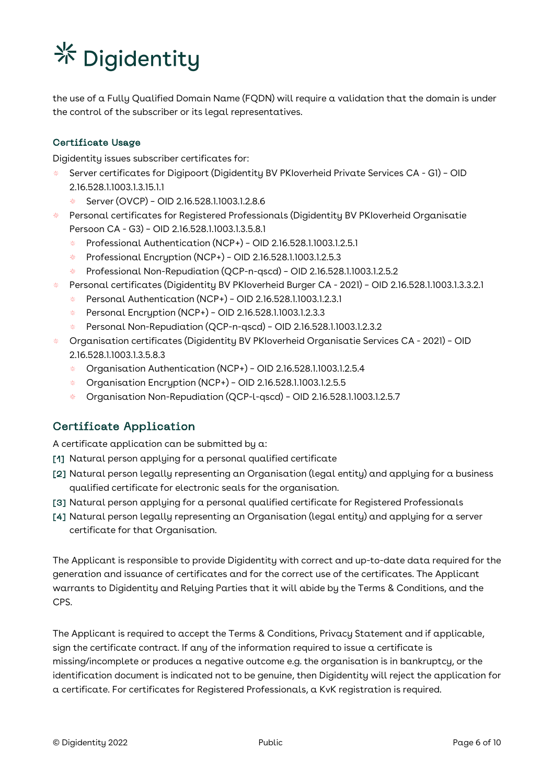the use of a Fully Qualified Domain Name (FQDN) will require a validation that the domain is under the control of the subscriber or its legal representatives.

## Certificate Usage

Digidentity issues subscriber certificates for:

- Server certificates for Digipoort (Digidentity BV PKIoverheid Private Services CA G1) OID 2.16.528.1.1003.1.3.15.1.1
	- Server (OVCP) OID 2.16.528.1.1003.1.2.8.6 상산
- Personal certificates for Registered Professionals (Digidentity BV PKIoverheid Organisatie Persoon CA - G3) – OID 2.16.528.1.1003.1.3.5.8.1
	- Professional Authentication (NCP+) OID 2.16.528.1.1003.1.2.5.1 sk.
	- 柴。 Professional Encryption (NCP+) – OID 2.16.528.1.1003.1.2.5.3
	- Professional Non-Repudiation (QCP-n-qscd) OID 2.16.528.1.1003.1.2.5.2 柴
- Personal certificates (Digidentity BV PKIoverheid Burger CA 2021) OID 2.16.528.1.1003.1.3.3.2.1
	- 琴 Personal Authentication (NCP+) – OID 2.16.528.1.1003.1.2.3.1
	- Personal Encryption (NCP+) OID 2.16.528.1.1003.1.2.3.3 茶
	- 条 Personal Non-Repudiation (QCP-n-qscd) – OID 2.16.528.1.1003.1.2.3.2
- Organisation certificates (Digidentity BV PKIoverheid Organisatie Services CA 2021) OID 2.16.528.1.1003.1.3.5.8.3
	- ※ Organisation Authentication (NCP+) – OID 2.16.528.1.1003.1.2.5.4
	- Organisation Encryption (NCP+) OID 2.16.528.1.1003.1.2.5.5
	- Organisation Non-Repudiation (QCP-l-qscd) OID 2.16.528.1.1003.1.2.5.7

## Certificate Application

A certificate application can be submitted by a:

- [1] Natural person applying for a personal qualified certificate
- [2] Natural person legally representing an Organisation (legal entity) and applying for a business qualified certificate for electronic seals for the organisation.
- [3] Natural person applying for a personal qualified certificate for Registered Professionals
- [4] Natural person legally representing an Organisation (legal entity) and applying for a server certificate for that Organisation.

The Applicant is responsible to provide Digidentity with correct and up-to-date data required for the generation and issuance of certificates and for the correct use of the certificates. The Applicant warrants to Digidentity and Relying Parties that it will abide by the Terms & Conditions, and the CPS.

The Applicant is required to accept the Terms & Conditions, Privacy Statement and if applicable, sign the certificate contract. If any of the information required to issue a certificate is missing/incomplete or produces a negative outcome e.g. the organisation is in bankruptcy, or the identification document is indicated not to be genuine, then Digidentity will reject the application for a certificate. For certificates for Registered Professionals, a KvK registration is required.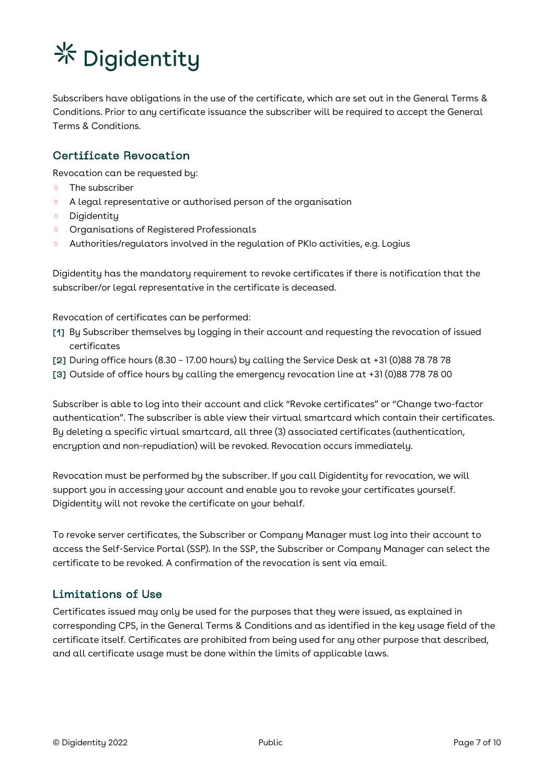Subscribers have obligations in the use of the certificate, which are set out in the General Terms & Conditions. Prior to any certificate issuance the subscriber will be required to accept the General Terms & Conditions.

## Certificate Revocation

Revocation can be requested by:

- The subscriber 柴
- $*$  A legal representative or authorised person of the organisation
- Digidentity
- Organisations of Registered Professionals
- Authorities/regulators involved in the regulation of PKIo activities, e.g. Logius

Digidentity has the mandatory requirement to revoke certificates if there is notification that the subscriber/or legal representative in the certificate is deceased.

Revocation of certificates can be performed:

- [1] By Subscriber themselves by logging in their account and requesting the revocation of issued certificates
- [2] During office hours (8.30 17.00 hours) by calling the Service Desk at +31 (0)88 78 78 78
- [3] Outside of office hours by calling the emergency revocation line at +31 (0)88 778 78 00

Subscriber is able to log into their account and click "Revoke certificates" or "Change two-factor authentication". The subscriber is able view their virtual smartcard which contain their certificates. By deleting a specific virtual smartcard, all three (3) associated certificates (authentication, encryption and non-repudiation) will be revoked. Revocation occurs immediately.

Revocation must be performed by the subscriber. If you call Digidentity for revocation, we will support you in accessing your account and enable you to revoke your certificates yourself. Digidentity will not revoke the certificate on your behalf.

To revoke server certificates, the Subscriber or Company Manager must log into their account to access the Self-Service Portal (SSP). In the SSP, the Subscriber or Company Manager can select the certificate to be revoked. A confirmation of the revocation is sent via email.

## Limitations of Use

Certificates issued may only be used for the purposes that they were issued, as explained in corresponding CPS, in the General Terms & Conditions and as identified in the key usage field of the certificate itself. Certificates are prohibited from being used for any other purpose that described, and all certificate usage must be done within the limits of applicable laws.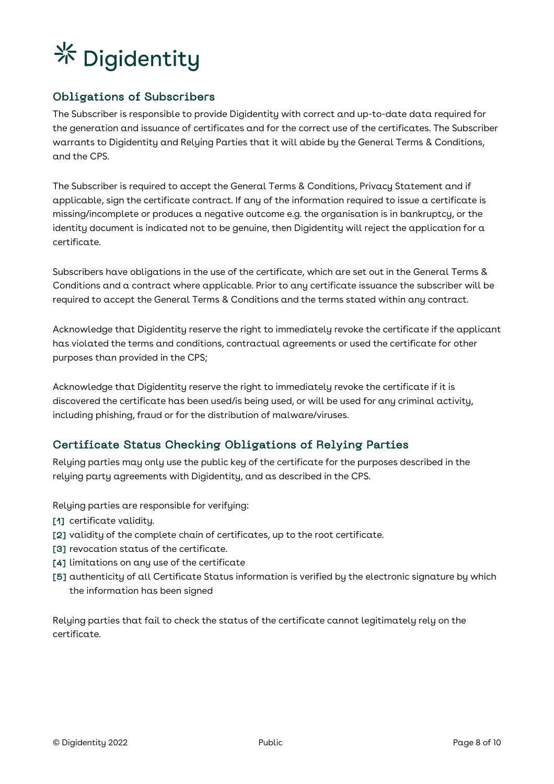# Obligations of Subscribers

The Subscriber is responsible to provide Digidentity with correct and up-to-date data required for the generation and issuance of certificates and for the correct use of the certificates. The Subscriber warrants to Digidentity and Relying Parties that it will abide by the General Terms & Conditions, and the CPS.

The Subscriber is required to accept the General Terms & Conditions, Privacy Statement and if applicable, sign the certificate contract. If any of the information required to issue a certificate is missing/incomplete or produces a negative outcome e.g. the organisation is in bankruptcy, or the identity document is indicated not to be genuine, then Digidentity will reject the application for a certificate.

Subscribers have obligations in the use of the certificate, which are set out in the General Terms & Conditions and a contract where applicable. Prior to any certificate issuance the subscriber will be required to accept the General Terms & Conditions and the terms stated within any contract.

Acknowledge that Digidentity reserve the right to immediately revoke the certificate if the applicant has violated the terms and conditions, contractual agreements or used the certificate for other purposes than provided in the CPS;

Acknowledge that Digidentity reserve the right to immediately revoke the certificate if it is discovered the certificate has been used/is being used, or will be used for any criminal activity, including phishing, fraud or for the distribution of malware/viruses.

# Certificate Status Checking Obligations of Relying Parties

Relying parties may only use the public key of the certificate for the purposes described in the relying party agreements with Digidentity, and as described in the CPS.

Relying parties are responsible for verifying:

- [1] certificate validity.
- [2] validity of the complete chain of certificates, up to the root certificate.
- [3] revocation status of the certificate.
- [4] limitations on any use of the certificate
- [5] authenticity of all Certificate Status information is verified by the electronic signature by which the information has been signed

Relying parties that fail to check the status of the certificate cannot legitimately rely on the certificate.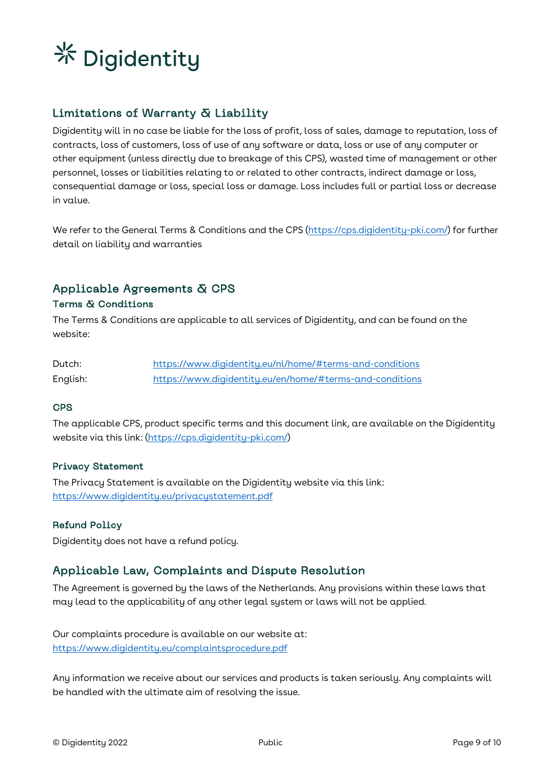

# Limitations of Warranty & Liability

Digidentity will in no case be liable for the loss of profit, loss of sales, damage to reputation, loss of contracts, loss of customers, loss of use of any software or data, loss or use of any computer or other equipment (unless directly due to breakage of this CPS), wasted time of management or other personnel, losses or liabilities relating to or related to other contracts, indirect damage or loss, consequential damage or loss, special loss or damage. Loss includes full or partial loss or decrease in value.

We refer to the General Terms & Conditions and the CPS (https://cps.digidentity-pki.com/) for further detail on liability and warranties

# Applicable Agreements & CPS

### Terms & Conditions

The Terms & Conditions are applicable to all services of Digidentity, and can be found on the website:

| Dutch:   | https://www.digidentity.eu/nl/home/#terms-and-conditions |
|----------|----------------------------------------------------------|
| English: | https://www.digidentitu.eu/en/home/#terms-and-conditions |

### **CPS**

The applicable CPS, product specific terms and this document link, are available on the Digidentity website via this link: (https://cps.digidentity-pki.com/)

#### Privacy Statement

The Privacy Statement is available on the Digidentity website via this link: https://www.digidentity.eu/privacystatement.pdf

## Refund Policy

Digidentity does not have a refund policy.

## Applicable Law, Complaints and Dispute Resolution

The Agreement is governed by the laws of the Netherlands. Any provisions within these laws that may lead to the applicability of any other legal system or laws will not be applied.

Our complaints procedure is available on our website at: https://www.digidentity.eu/complaintsprocedure.pdf

Any information we receive about our services and products is taken seriously. Any complaints will be handled with the ultimate aim of resolving the issue.